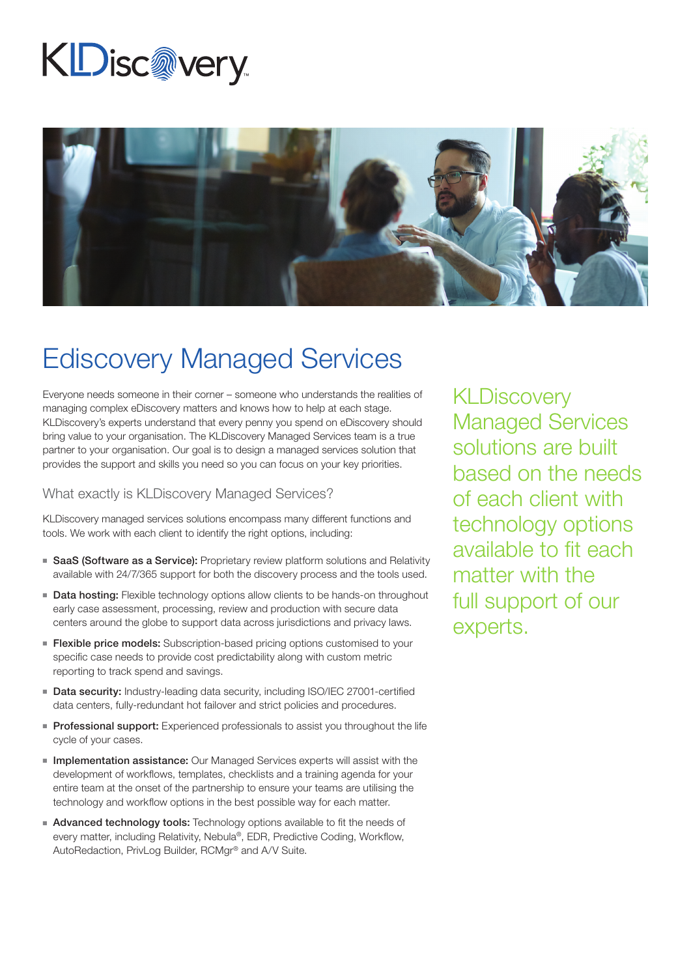# KDisc@very



### Ediscovery Managed Services

Everyone needs someone in their corner – someone who understands the realities of managing complex eDiscovery matters and knows how to help at each stage. KLDiscovery's experts understand that every penny you spend on eDiscovery should bring value to your organisation. The KLDiscovery Managed Services team is a true partner to your organisation. Our goal is to design a managed services solution that provides the support and skills you need so you can focus on your key priorities.

#### What exactly is KLDiscovery Managed Services?

KLDiscovery managed services solutions encompass many different functions and tools. We work with each client to identify the right options, including:

- SaaS (Software as a Service): Proprietary review platform solutions and Relativity available with 24/7/365 support for both the discovery process and the tools used.
- Data hosting: Flexible technology options allow clients to be hands-on throughout early case assessment, processing, review and production with secure data centers around the globe to support data across jurisdictions and privacy laws.
- **Flexible price models:** Subscription-based pricing options customised to your specific case needs to provide cost predictability along with custom metric reporting to track spend and savings.
- Data security: Industry-leading data security, including ISO/IEC 27001-certified data centers, fully-redundant hot failover and strict policies and procedures.
- Professional support: Experienced professionals to assist you throughout the life cycle of your cases.
- **Implementation assistance:** Our Managed Services experts will assist with the development of workflows, templates, checklists and a training agenda for your entire team at the onset of the partnership to ensure your teams are utilising the technology and workflow options in the best possible way for each matter.
- Advanced technology tools: Technology options available to fit the needs of every matter, including Relativity, Nebula®, EDR, Predictive Coding, Workflow, AutoRedaction, PrivLog Builder, RCMgr® and A/V Suite.

**KLDiscovery** Managed Services solutions are built based on the needs of each client with technology options available to fit each matter with the full support of our experts.